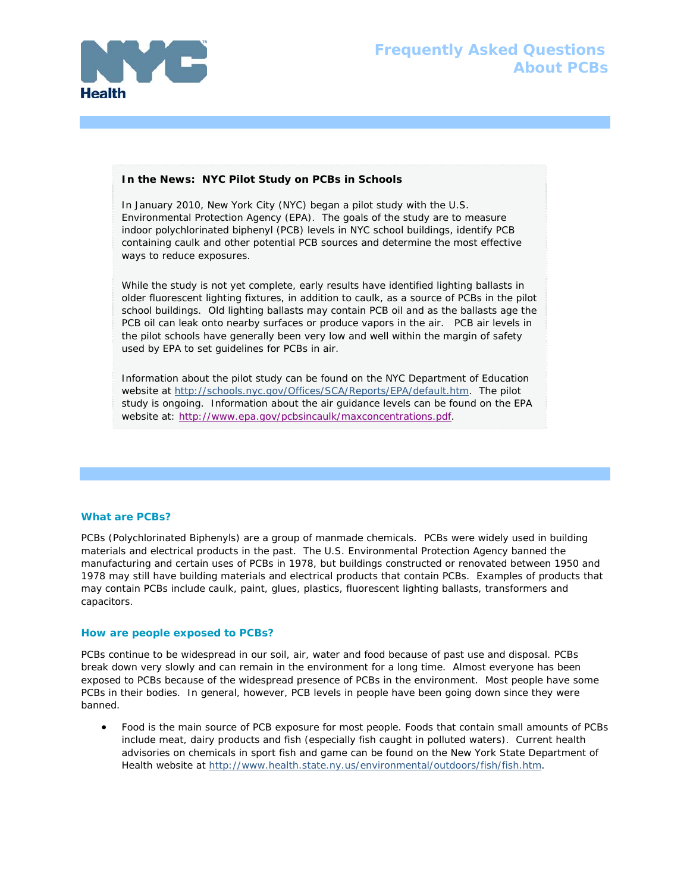

# **Frequently Asked Questions About PCBs**

## **In the News: NYC Pilot Study on PCBs in Schools**

In January 2010, New York City (NYC) began a pilot study with the U.S. Environmental Protection Agency (EPA). The goals of the study are to measure indoor polychlorinated biphenyl (PCB) levels in NYC school buildings, identify PCB containing caulk and other potential PCB sources and determine the most effective ways to reduce exposures.

While the study is not yet complete, early results have identified lighting ballasts in older fluorescent lighting fixtures, in addition to caulk, as a source of PCBs in the pilot school buildings. Old lighting ballasts may contain PCB oil and as the ballasts age the PCB oil can leak onto nearby surfaces or produce vapors in the air. PCB air levels in the pilot schools have generally been very low and well within the margin of safety used by EPA to set guidelines for PCBs in air.

Information about the pilot study can be found on the NYC Department of Education website at http://schools.nyc.gov/Offices/SCA/Reports/EPA/default.htm. The pilot study is ongoing. Information about the air guidance levels can be found on the EPA website at: http://www.epa.gov/pcbsincaulk/maxconcentrations.pdf.

## **What are PCBs?**

PCBs (Polychlorinated Biphenyls) are a group of manmade chemicals. PCBs were widely used in building materials and electrical products in the past. The U.S. Environmental Protection Agency banned the manufacturing and certain uses of PCBs in 1978, but buildings constructed or renovated between 1950 and 1978 may still have building materials and electrical products that contain PCBs. Examples of products that may contain PCBs include caulk, paint, glues, plastics, fluorescent lighting ballasts, transformers and capacitors.

#### **How are people exposed to PCBs?**

PCBs continue to be widespread in our soil, air, water and food because of past use and disposal. PCBs break down very slowly and can remain in the environment for a long time. Almost everyone has been exposed to PCBs because of the widespread presence of PCBs in the environment. Most people have some PCBs in their bodies. In general, however, PCB levels in people have been going down since they were banned.

 Food is the main source of PCB exposure for most people. Foods that contain small amounts of PCBs include meat, dairy products and fish (especially fish caught in polluted waters). Current health advisories on chemicals in sport fish and game can be found on the New York State Department of Health website at http://www.health.state.ny.us/environmental/outdoors/fish/fish.htm.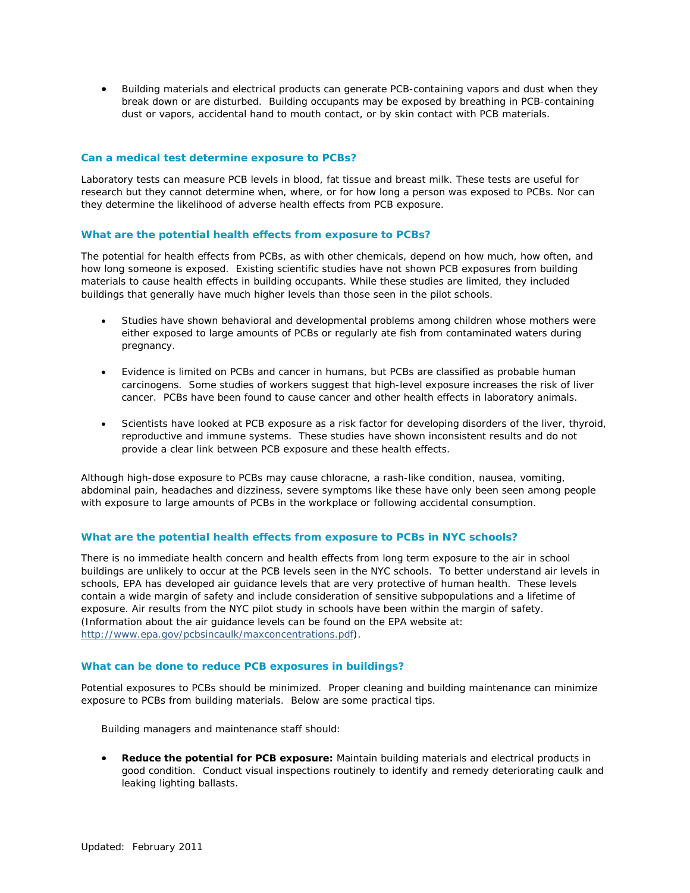Building materials and electrical products can generate PCB-containing vapors and dust when they break down or are disturbed. Building occupants may be exposed by breathing in PCB-containing dust or vapors, accidental hand to mouth contact, or by skin contact with PCB materials.

## **Can a medical test determine exposure to PCBs?**

Laboratory tests can measure PCB levels in blood, fat tissue and breast milk. These tests are useful for research but they cannot determine when, where, or for how long a person was exposed to PCBs. Nor can they determine the likelihood of adverse health effects from PCB exposure.

#### **What are the potential health effects from exposure to PCBs?**

The potential for health effects from PCBs, as with other chemicals, depend on how much, how often, and how long someone is exposed. Existing scientific studies have not shown PCB exposures from building materials to cause health effects in building occupants. While these studies are limited, they included buildings that generally have much higher levels than those seen in the pilot schools.

- Studies have shown behavioral and developmental problems among children whose mothers were either exposed to large amounts of PCBs or regularly ate fish from contaminated waters during pregnancy.
- Evidence is limited on PCBs and cancer in humans, but PCBs are classified as probable human carcinogens. Some studies of workers suggest that high-level exposure increases the risk of liver cancer. PCBs have been found to cause cancer and other health effects in laboratory animals.
- Scientists have looked at PCB exposure as a risk factor for developing disorders of the liver, thyroid, reproductive and immune systems. These studies have shown inconsistent results and do not provide a clear link between PCB exposure and these health effects.

Although high-dose exposure to PCBs may cause chloracne, a rash-like condition, nausea, vomiting, abdominal pain, headaches and dizziness, severe symptoms like these have only been seen among people with exposure to large amounts of PCBs in the workplace or following accidental consumption.

#### **What are the potential health effects from exposure to PCBs in NYC schools?**

There is no immediate health concern and health effects from long term exposure to the air in school buildings are unlikely to occur at the PCB levels seen in the NYC schools. To better understand air levels in schools, EPA has developed air guidance levels that are very protective of human health. These levels contain a wide margin of safety and include consideration of sensitive subpopulations and a lifetime of exposure. Air results from the NYC pilot study in schools have been within the margin of safety. (Information about the air guidance levels can be found on the EPA website at: http://www.epa.gov/pcbsincaulk/maxconcentrations.pdf).

#### **What can be done to reduce PCB exposures in buildings?**

Potential exposures to PCBs should be minimized. Proper cleaning and building maintenance can minimize exposure to PCBs from building materials. Below are some practical tips.

*Building managers and maintenance staff should:* 

 **Reduce the potential for PCB exposure:** Maintain building materials and electrical products in good condition. Conduct visual inspections routinely to identify and remedy deteriorating caulk and leaking lighting ballasts.